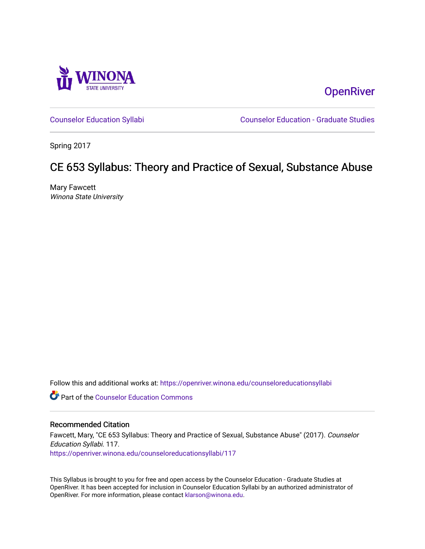

**OpenRiver** 

[Counselor Education Syllabi](https://openriver.winona.edu/counseloreducationsyllabi) [Counselor Education - Graduate Studies](https://openriver.winona.edu/counseloreducation) 

Spring 2017

## CE 653 Syllabus: Theory and Practice of Sexual, Substance Abuse

Mary Fawcett Winona State University

Follow this and additional works at: [https://openriver.winona.edu/counseloreducationsyllabi](https://openriver.winona.edu/counseloreducationsyllabi?utm_source=openriver.winona.edu%2Fcounseloreducationsyllabi%2F117&utm_medium=PDF&utm_campaign=PDFCoverPages)

**C** Part of the Counselor Education Commons

#### Recommended Citation

Fawcett, Mary, "CE 653 Syllabus: Theory and Practice of Sexual, Substance Abuse" (2017). Counselor Education Syllabi. 117. [https://openriver.winona.edu/counseloreducationsyllabi/117](https://openriver.winona.edu/counseloreducationsyllabi/117?utm_source=openriver.winona.edu%2Fcounseloreducationsyllabi%2F117&utm_medium=PDF&utm_campaign=PDFCoverPages)

This Syllabus is brought to you for free and open access by the Counselor Education - Graduate Studies at OpenRiver. It has been accepted for inclusion in Counselor Education Syllabi by an authorized administrator of OpenRiver. For more information, please contact [klarson@winona.edu](mailto:klarson@winona.edu).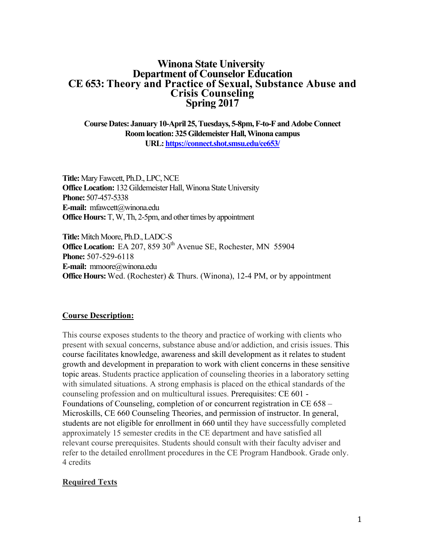## **Winona State University Department of Counselor Education CE 653: Theory and Practice of Sexual, Substance Abuse and Crisis Counseling Spring 2017**

**Course Dates: January 10-April 25, Tuesdays, 5-8pm, F-to-F and Adobe Connect Room location: 325Gildemeister Hall, Winona campus URL: https://connect.shot.smsu.edu/ce653/**

**Title:** Mary Fawcett, Ph.D., LPC, NCE **Office Location:** 132 Gildemeister Hall, Winona State University **Phone:** 507-457-5338 **E-mail:** mfawcett@winona.edu **Office Hours:** T, W, Th, 2-5pm, and other times by appointment

**Title:** Mitch Moore, Ph.D., LADC-S **Office Location:** EA 207, 859 30<sup>th</sup> Avenue SE, Rochester, MN 55904 **Phone:** 507-529-6118 **E-mail:** mmoore@winona.edu **Office Hours:** Wed. (Rochester) & Thurs. (Winona), 12-4 PM, or by appointment

## **Course Description:**

This course exposes students to the theory and practice of working with clients who present with sexual concerns, substance abuse and/or addiction, and crisis issues. This course facilitates knowledge, awareness and skill development as it relates to student growth and development in preparation to work with client concerns in these sensitive topic areas. Students practice application of counseling theories in a laboratory setting with simulated situations. A strong emphasis is placed on the ethical standards of the counseling profession and on multicultural issues. Prerequisites: CE 601 - Foundations of Counseling, completion of or concurrent registration in CE 658 – Microskills, CE 660 Counseling Theories, and permission of instructor. In general, students are not eligible for enrollment in 660 until they have successfully completed approximately 15 semester credits in the CE department and have satisfied all relevant course prerequisites. Students should consult with their faculty adviser and refer to the detailed enrollment procedures in the CE Program Handbook. Grade only. 4 credits

#### **Required Texts**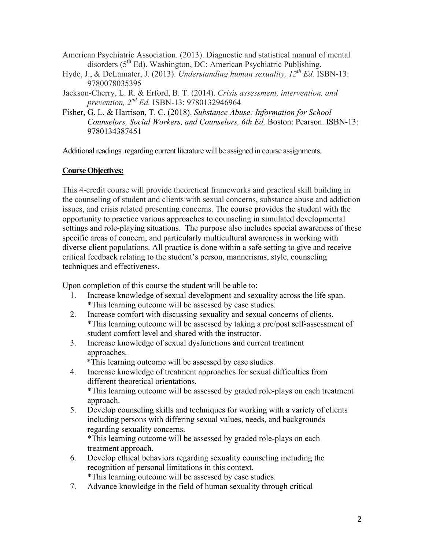- American Psychiatric Association. (2013). Diagnostic and statistical manual of mental disorders ( $5<sup>th</sup> Ed$ ). Washington, DC: American Psychiatric Publishing.
- Hyde, J., & DeLamater, J. (2013). *Understanding human sexuality, 12th Ed.* ISBN-13: 9780078035395
- Jackson-Cherry, L. R. & Erford, B. T. (2014). *Crisis assessment, intervention, and prevention, 2nd Ed.* ISBN-13: 9780132946964
- Fisher, G. L. & Harrison, T. C. (2018). *Substance Abuse: Information for School Counselors, Social Workers, and Counselors, 6th Ed.* Boston: Pearson. ISBN-13: 9780134387451

Additional readings regarding current literature will be assigned in course assignments.

## **Course Objectives:**

This 4-credit course will provide theoretical frameworks and practical skill building in the counseling of student and clients with sexual concerns, substance abuse and addiction issues, and crisis related presenting concerns. The course provides the student with the opportunity to practice various approaches to counseling in simulated developmental settings and role-playing situations. The purpose also includes special awareness of these specific areas of concern, and particularly multicultural awareness in working with diverse client populations. All practice is done within a safe setting to give and receive critical feedback relating to the student's person, mannerisms, style, counseling techniques and effectiveness.

Upon completion of this course the student will be able to:

- 1. Increase knowledge of sexual development and sexuality across the life span. \*This learning outcome will be assessed by case studies.
- 2. Increase comfort with discussing sexuality and sexual concerns of clients. \*This learning outcome will be assessed by taking a pre/post self-assessment of student comfort level and shared with the instructor.
- 3. Increase knowledge of sexual dysfunctions and current treatment approaches.

\*This learning outcome will be assessed by case studies.

- 4. Increase knowledge of treatment approaches for sexual difficulties from different theoretical orientations. \*This learning outcome will be assessed by graded role-plays on each treatment approach.
- 5. Develop counseling skills and techniques for working with a variety of clients including persons with differing sexual values, needs, and backgrounds regarding sexuality concerns. \*This learning outcome will be assessed by graded role-plays on each

treatment approach.

- 6. Develop ethical behaviors regarding sexuality counseling including the recognition of personal limitations in this context. \*This learning outcome will be assessed by case studies.
- 7. Advance knowledge in the field of human sexuality through critical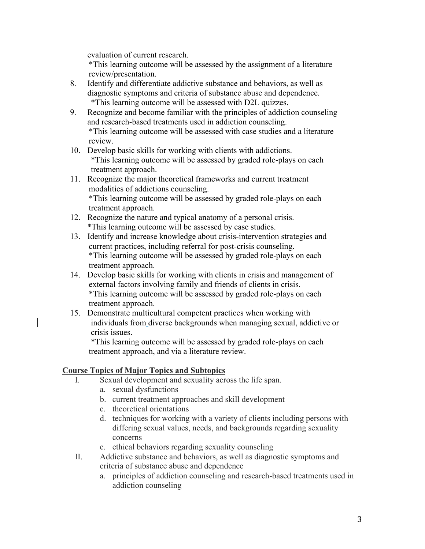evaluation of current research.

 \*This learning outcome will be assessed by the assignment of a literature review/presentation.

- 8. Identify and differentiate addictive substance and behaviors, as well as diagnostic symptoms and criteria of substance abuse and dependence. \*This learning outcome will be assessed with D2L quizzes.
- 9. Recognize and become familiar with the principles of addiction counseling and research-based treatments used in addiction counseling. \*This learning outcome will be assessed with case studies and a literature review.
- 10. Develop basic skills for working with clients with addictions. \*This learning outcome will be assessed by graded role-plays on each treatment approach.
- 11. Recognize the major theoretical frameworks and current treatment modalities of addictions counseling. \*This learning outcome will be assessed by graded role-plays on each treatment approach.
- 12. Recognize the nature and typical anatomy of a personal crisis. \*This learning outcome will be assessed by case studies.
- 13. Identify and increase knowledge about crisis-intervention strategies and current practices, including referral for post-crisis counseling. \*This learning outcome will be assessed by graded role-plays on each treatment approach.
- 14. Develop basic skills for working with clients in crisis and management of external factors involving family and friends of clients in crisis. \*This learning outcome will be assessed by graded role-plays on each treatment approach.
- 15. Demonstrate multicultural competent practices when working with individuals from diverse backgrounds when managing sexual, addictive or crisis issues.

 \*This learning outcome will be assessed by graded role-plays on each treatment approach, and via a literature review.

## **Course Topics of Major Topics and Subtopics**

- I. Sexual development and sexuality across the life span.
	- a. sexual dysfunctions
	- b. current treatment approaches and skill development
	- c. theoretical orientations
	- d. techniques for working with a variety of clients including persons with differing sexual values, needs, and backgrounds regarding sexuality concerns
	- e. ethical behaviors regarding sexuality counseling
- II. Addictive substance and behaviors, as well as diagnostic symptoms and criteria of substance abuse and dependence
	- a. principles of addiction counseling and research-based treatments used in addiction counseling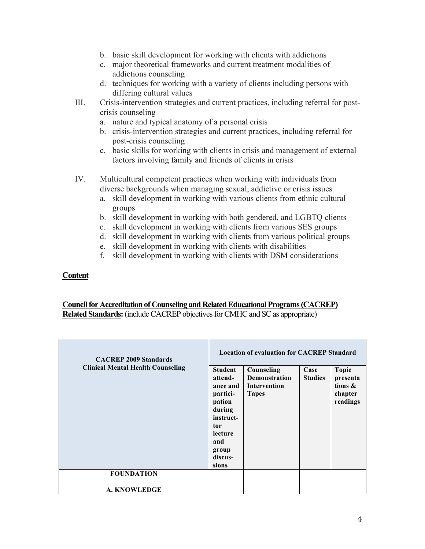- b. basic skill development for working with clients with addictions
- c. major theoretical frameworks and current treatment modalities of addictions counseling
- d. techniques for working with a variety of clients including persons with differing cultural values
- III. Crisis-intervention strategies and current practices, including referral for postcrisis counseling
	- a. nature and typical anatomy of a personal crisis
	- b. crisis-intervention strategies and current practices, including referral for post-crisis counseling
	- c. basic skills for working with clients in crisis and management of external factors involving family and friends of clients in crisis
- IV. Multicultural competent practices when working with individuals from diverse backgrounds when managing sexual, addictive or crisis issues
	- a. skill development in working with various clients from ethnic cultural groups
	- b. skill development in working with both gendered, and LGBTQ clients
	- c. skill development in working with clients from various SES groups
	- d. skill development in working with clients from various political groups
	- e. skill development in working with clients with disabilities
	- f. skill development in working with clients with DSM considerations

#### **Content**

# **Council for Accreditation of Counseling and Related Educational Programs (CACREP)**

**Related Standards:**(include CACREP objectives for CMHC and SC as appropriate)

| <b>CACREP 2009 Standards</b>             | <b>Location of evaluation for CACREP Standard</b>                                                                                        |                                                                    |                        |                                                               |
|------------------------------------------|------------------------------------------------------------------------------------------------------------------------------------------|--------------------------------------------------------------------|------------------------|---------------------------------------------------------------|
| <b>Clinical Mental Health Counseling</b> | <b>Student</b><br>attend-<br>ance and<br>partici-<br>pation<br>during<br>instruct-<br>tor<br>lecture<br>and<br>group<br>discus-<br>sions | Counseling<br><b>Demonstration</b><br>Intervention<br><b>Tapes</b> | Case<br><b>Studies</b> | <b>Topic</b><br>presenta<br>tions $\&$<br>chapter<br>readings |
| <b>FOUNDATION</b>                        |                                                                                                                                          |                                                                    |                        |                                                               |
| <b>A. KNOWLEDGE</b>                      |                                                                                                                                          |                                                                    |                        |                                                               |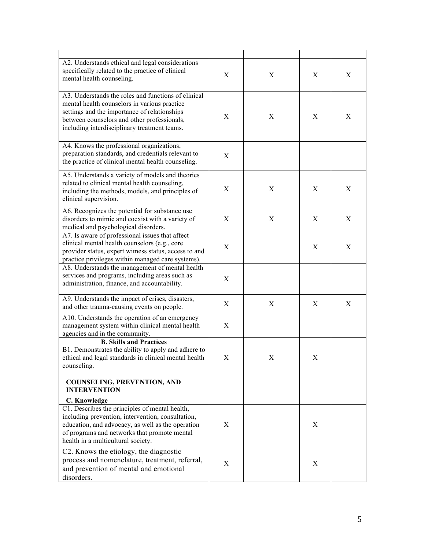| A2. Understands ethical and legal considerations<br>specifically related to the practice of clinical<br>mental health counseling.                                                                                                                  | X | X                         | X | Χ |
|----------------------------------------------------------------------------------------------------------------------------------------------------------------------------------------------------------------------------------------------------|---|---------------------------|---|---|
| A3. Understands the roles and functions of clinical<br>mental health counselors in various practice<br>settings and the importance of relationships<br>between counselors and other professionals,<br>including interdisciplinary treatment teams. | X | X                         | X | X |
| A4. Knows the professional organizations,<br>preparation standards, and credentials relevant to<br>the practice of clinical mental health counseling.                                                                                              | X |                           |   |   |
| A5. Understands a variety of models and theories<br>related to clinical mental health counseling,<br>including the methods, models, and principles of<br>clinical supervision.                                                                     | X | X                         | X | X |
| A6. Recognizes the potential for substance use<br>disorders to mimic and coexist with a variety of<br>medical and psychological disorders.                                                                                                         | X | $\boldsymbol{\mathrm{X}}$ | X | X |
| A7. Is aware of professional issues that affect<br>clinical mental health counselors (e.g., core<br>provider status, expert witness status, access to and<br>practice privileges within managed care systems).                                     | X |                           | X | X |
| A8. Understands the management of mental health<br>services and programs, including areas such as<br>administration, finance, and accountability.                                                                                                  | X |                           |   |   |
| A9. Understands the impact of crises, disasters,<br>and other trauma-causing events on people.                                                                                                                                                     | X | X                         | X | X |
| A10. Understands the operation of an emergency<br>management system within clinical mental health<br>agencies and in the community.                                                                                                                | X |                           |   |   |
| <b>B. Skills and Practices</b><br>B1. Demonstrates the ability to apply and adhere to<br>ethical and legal standards in clinical mental health<br>counseling.                                                                                      | X | Χ                         | Χ |   |
| <b>COUNSELING, PREVENTION, AND</b><br><b>INTERVENTION</b>                                                                                                                                                                                          |   |                           |   |   |
| C. Knowledge                                                                                                                                                                                                                                       |   |                           |   |   |
| C1. Describes the principles of mental health,<br>including prevention, intervention, consultation,<br>education, and advocacy, as well as the operation<br>of programs and networks that promote mental<br>health in a multicultural society.     | X |                           | X |   |
| C2. Knows the etiology, the diagnostic<br>process and nomenclature, treatment, referral,<br>and prevention of mental and emotional<br>disorders.                                                                                                   | X |                           | X |   |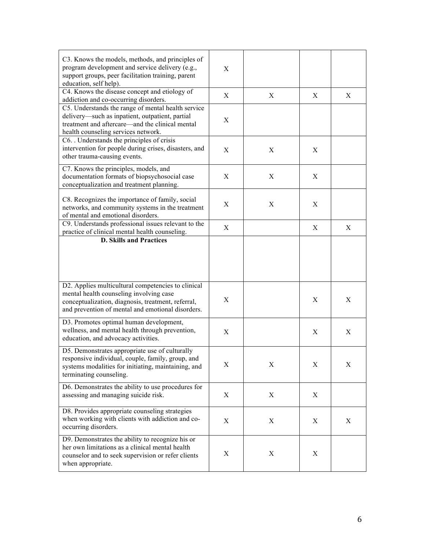| C3. Knows the models, methods, and principles of<br>program development and service delivery (e.g.,<br>support groups, peer facilitation training, parent<br>education, self help).             | X |   |   |   |
|-------------------------------------------------------------------------------------------------------------------------------------------------------------------------------------------------|---|---|---|---|
| C4. Knows the disease concept and etiology of<br>addiction and co-occurring disorders.                                                                                                          | X | X | X | X |
| C5. Understands the range of mental health service<br>delivery—such as inpatient, outpatient, partial<br>treatment and aftercare—and the clinical mental<br>health counseling services network. | X |   |   |   |
| C6. Understands the principles of crisis<br>intervention for people during crises, disasters, and<br>other trauma-causing events.                                                               | X | X | X |   |
| C7. Knows the principles, models, and<br>documentation formats of biopsychosocial case<br>conceptualization and treatment planning.                                                             | X | X | X |   |
| C8. Recognizes the importance of family, social<br>networks, and community systems in the treatment<br>of mental and emotional disorders.                                                       | X | X | X |   |
| C9. Understands professional issues relevant to the<br>practice of clinical mental health counseling.<br><b>D. Skills and Practices</b>                                                         | X |   | X | X |
| D2. Applies multicultural competencies to clinical<br>mental health counseling involving case                                                                                                   |   |   |   |   |
| conceptualization, diagnosis, treatment, referral,<br>and prevention of mental and emotional disorders.                                                                                         | X |   | X | Χ |
| D3. Promotes optimal human development,<br>wellness, and mental health through prevention,<br>education, and advocacy activities.                                                               | X |   | X | X |
| D5. Demonstrates appropriate use of culturally<br>responsive individual, couple, family, group, and<br>systems modalities for initiating, maintaining, and<br>terminating counseling.           | X | X | X | X |
| D6. Demonstrates the ability to use procedures for<br>assessing and managing suicide risk.                                                                                                      | X | X | X |   |
| D8. Provides appropriate counseling strategies<br>when working with clients with addiction and co-<br>occurring disorders.                                                                      | X | X | X | X |
| D9. Demonstrates the ability to recognize his or<br>her own limitations as a clinical mental health<br>counselor and to seek supervision or refer clients<br>when appropriate.                  | X | X | X |   |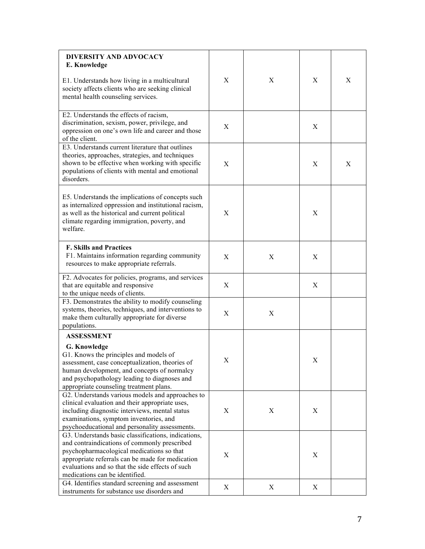| <b>DIVERSITY AND ADVOCACY</b><br>E. Knowledge                                                                                                                                                                                                                                              |   |   |             |   |
|--------------------------------------------------------------------------------------------------------------------------------------------------------------------------------------------------------------------------------------------------------------------------------------------|---|---|-------------|---|
| E1. Understands how living in a multicultural<br>society affects clients who are seeking clinical<br>mental health counseling services.                                                                                                                                                    | X | X | X           | X |
| E2. Understands the effects of racism,<br>discrimination, sexism, power, privilege, and<br>oppression on one's own life and career and those<br>of the client.                                                                                                                             | X |   | X           |   |
| E3. Understands current literature that outlines<br>theories, approaches, strategies, and techniques<br>shown to be effective when working with specific<br>populations of clients with mental and emotional<br>disorders.                                                                 | X |   | X           | X |
| E5. Understands the implications of concepts such<br>as internalized oppression and institutional racism,<br>as well as the historical and current political<br>climate regarding immigration, poverty, and<br>welfare.                                                                    | X |   | X           |   |
| <b>F. Skills and Practices</b><br>F1. Maintains information regarding community<br>resources to make appropriate referrals.                                                                                                                                                                | X | X | X           |   |
| F2. Advocates for policies, programs, and services<br>that are equitable and responsive<br>to the unique needs of clients.                                                                                                                                                                 | X |   | X           |   |
| F3. Demonstrates the ability to modify counseling<br>systems, theories, techniques, and interventions to<br>make them culturally appropriate for diverse<br>populations.                                                                                                                   | X | X |             |   |
| <b>ASSESSMENT</b>                                                                                                                                                                                                                                                                          |   |   |             |   |
| G. Knowledge<br>G1. Knows the principles and models of<br>assessment, case conceptualization, theories of<br>human development, and concepts of normalcy<br>and psychopathology leading to diagnoses and<br>appropriate counseling treatment plans.                                        | X |   | $\mathbf X$ |   |
| G2. Understands various models and approaches to<br>clinical evaluation and their appropriate uses,<br>including diagnostic interviews, mental status<br>examinations, symptom inventories, and<br>psychoeducational and personality assessments.                                          | X | X | X           |   |
| G3. Understands basic classifications, indications,<br>and contraindications of commonly prescribed<br>psychopharmacological medications so that<br>appropriate referrals can be made for medication<br>evaluations and so that the side effects of such<br>medications can be identified. | X |   | X           |   |
| G4. Identifies standard screening and assessment<br>instruments for substance use disorders and                                                                                                                                                                                            | X | X | X           |   |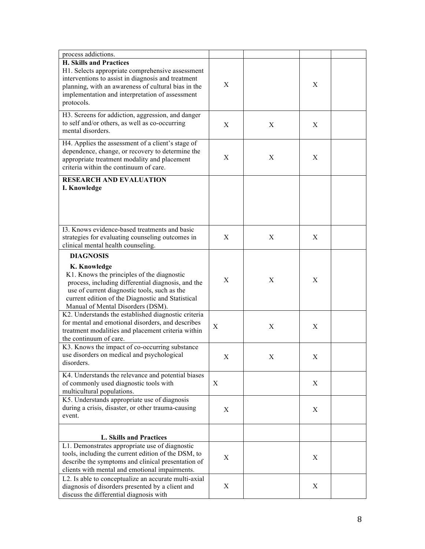| process addictions.                                                                                                                                                                                                                                                            |   |   |   |  |
|--------------------------------------------------------------------------------------------------------------------------------------------------------------------------------------------------------------------------------------------------------------------------------|---|---|---|--|
| <b>H. Skills and Practices</b><br>H1. Selects appropriate comprehensive assessment<br>interventions to assist in diagnosis and treatment<br>planning, with an awareness of cultural bias in the<br>implementation and interpretation of assessment<br>protocols.               | X |   | X |  |
| H3. Screens for addiction, aggression, and danger<br>to self and/or others, as well as co-occurring<br>mental disorders.                                                                                                                                                       | X | X | X |  |
| H4. Applies the assessment of a client's stage of<br>dependence, change, or recovery to determine the<br>appropriate treatment modality and placement<br>criteria within the continuum of care.                                                                                | X | X | X |  |
| <b>RESEARCH AND EVALUATION</b><br>I. Knowledge                                                                                                                                                                                                                                 |   |   |   |  |
|                                                                                                                                                                                                                                                                                |   |   |   |  |
| 13. Knows evidence-based treatments and basic<br>strategies for evaluating counseling outcomes in<br>clinical mental health counseling.                                                                                                                                        | X | X | X |  |
| <b>DIAGNOSIS</b><br>K. Knowledge<br>K1. Knows the principles of the diagnostic<br>process, including differential diagnosis, and the<br>use of current diagnostic tools, such as the<br>current edition of the Diagnostic and Statistical<br>Manual of Mental Disorders (DSM). | X | X | X |  |
| K2. Understands the established diagnostic criteria<br>for mental and emotional disorders, and describes<br>treatment modalities and placement criteria within<br>the continuum of care.                                                                                       | X | X | X |  |
| K3. Knows the impact of co-occurring substance<br>use disorders on medical and psychological<br>disorders.                                                                                                                                                                     | X | X | X |  |
| K4. Understands the relevance and potential biases<br>of commonly used diagnostic tools with<br>multicultural populations.                                                                                                                                                     | X |   | X |  |
| K5. Understands appropriate use of diagnosis<br>during a crisis, disaster, or other trauma-causing<br>event.                                                                                                                                                                   | X |   | X |  |
| L. Skills and Practices                                                                                                                                                                                                                                                        |   |   |   |  |
| L1. Demonstrates appropriate use of diagnostic<br>tools, including the current edition of the DSM, to<br>describe the symptoms and clinical presentation of<br>clients with mental and emotional impairments.                                                                  | X |   | X |  |
| L2. Is able to conceptualize an accurate multi-axial<br>diagnosis of disorders presented by a client and<br>discuss the differential diagnosis with                                                                                                                            | X |   | X |  |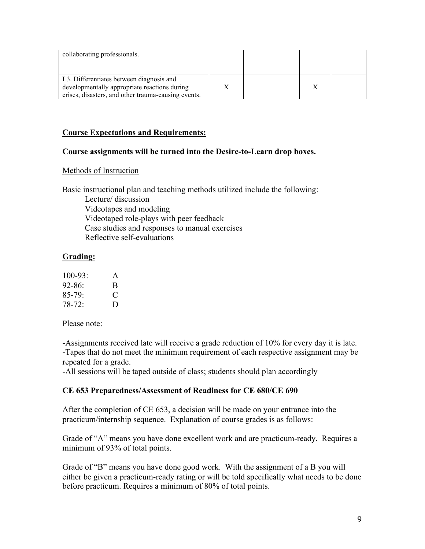| collaborating professionals.                                                                                                                    |  |  |
|-------------------------------------------------------------------------------------------------------------------------------------------------|--|--|
| L3. Differentiates between diagnosis and<br>developmentally appropriate reactions during<br>crises, disasters, and other trauma-causing events. |  |  |

#### **Course Expectations and Requirements:**

#### **Course assignments will be turned into the Desire-to-Learn drop boxes.**

#### Methods of Instruction

Basic instructional plan and teaching methods utilized include the following: Lecture/ discussion Videotapes and modeling Videotaped role-plays with peer feedback Case studies and responses to manual exercises Reflective self-evaluations

#### **Grading:**

| $100 - 93$         | A |
|--------------------|---|
| 92-86 <sup>-</sup> | B |
| $85 - 79$          | ⊖ |
| $78-72$            | D |

Please note:

-Assignments received late will receive a grade reduction of 10% for every day it is late. -Tapes that do not meet the minimum requirement of each respective assignment may be repeated for a grade.

-All sessions will be taped outside of class; students should plan accordingly

#### **CE 653 Preparedness/Assessment of Readiness for CE 680/CE 690**

After the completion of CE 653, a decision will be made on your entrance into the practicum/internship sequence. Explanation of course grades is as follows:

Grade of "A" means you have done excellent work and are practicum-ready. Requires a minimum of 93% of total points.

Grade of "B" means you have done good work. With the assignment of a B you will either be given a practicum-ready rating or will be told specifically what needs to be done before practicum. Requires a minimum of 80% of total points.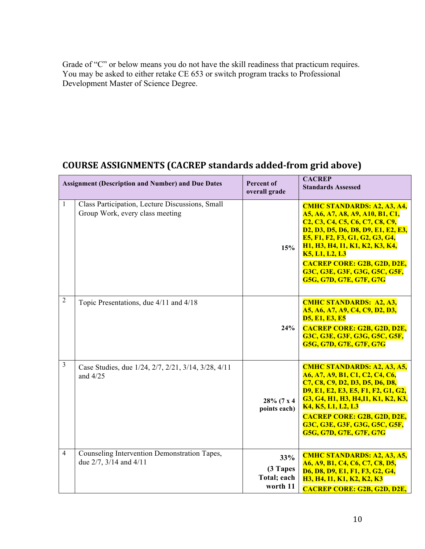Grade of "C" or below means you do not have the skill readiness that practicum requires. You may be asked to either retake CE 653 or switch program tracks to Professional Development Master of Science Degree.

## **COURSE ASSIGNMENTS (CACREP standards added-from grid above)**

|                | <b>Assignment (Description and Number) and Due Dates</b>                           | <b>Percent of</b><br>overall grade         | <b>CACREP</b><br><b>Standards Assessed</b>                                                                                                                                                                                                                                                                                                                                                                                                                |
|----------------|------------------------------------------------------------------------------------|--------------------------------------------|-----------------------------------------------------------------------------------------------------------------------------------------------------------------------------------------------------------------------------------------------------------------------------------------------------------------------------------------------------------------------------------------------------------------------------------------------------------|
| $\mathbf{1}$   | Class Participation, Lecture Discussions, Small<br>Group Work, every class meeting | 15%                                        | <b>CMHC STANDARDS: A2, A3, A4,</b><br>A5, A6, A7, A8, A9, A10, B1, C1,<br>C <sub>2</sub> , C <sub>3</sub> , C <sub>4</sub> , C <sub>5</sub> , C <sub>6</sub> , C <sub>7</sub> , C <sub>8</sub> , C <sub>9</sub> ,<br>D2, D3, D5, D6, D8, D9, E1, E2, E3,<br>E5, F1, F2, F3, G1, G2, G3, G4,<br>H1, H3, H4, I1, K1, K2, K3, K4,<br><b>K5, L1, L2, L3</b><br><b>CACREP CORE: G2B, G2D, D2E,</b><br>G3C, G3E, G3F, G3G, G5C, G5F,<br>G5G, G7D, G7E, G7F, G7G |
| $\overline{2}$ | Topic Presentations, due 4/11 and 4/18                                             | 24%                                        | <b>CMHC STANDARDS: A2, A3,</b><br>A5, A6, A7, A9, C4, C9, D2, D3,<br><b>D5, E1, E3, E5</b><br><b>CACREP CORE: G2B, G2D, D2E,</b><br>G3C, G3E, G3F, G3G, G5C, G5F,<br>G5G, G7D, G7E, G7F, G7G                                                                                                                                                                                                                                                              |
| 3              | Case Studies, due 1/24, 2/7, 2/21, 3/14, 3/28, 4/11<br>and $4/25$                  | 28% (7 x 4<br>points each)                 | <b>CMHC STANDARDS: A2, A3, A5,</b><br>A6, A7, A9, B1, C1, C2, C4, C6,<br>C7, C8, C9, D2, D3, D5, D6, D8,<br><b>D9, E1, E2, E3, E5, F1, F2, G1, G2,</b><br>G3, G4, H1, H3, H4, I1, K1, K2, K3,<br>K4, K5, L1, L2, L3<br><b>CACREP CORE: G2B, G2D, D2E,</b><br>G3C, G3E, G3F, G3G, G5C, G5F,<br>G5G, G7D, G7E, G7F, G7G                                                                                                                                     |
| $\overline{4}$ | Counseling Intervention Demonstration Tapes,<br>due $2/7$ , $3/14$ and $4/11$      | 33%<br>(3 Tapes<br>Total; each<br>worth 11 | <b>CMHC STANDARDS: A2, A3, A5,</b><br>A6, A9, B1, C4, C6, C7, C8, D5,<br><b>D6, D8, D9, E1, F1, F3, G2, G4,</b><br>H3, H4, I1, K1, K2, K2, K3<br><b>CACREP CORE: G2B, G2D, D2E,</b>                                                                                                                                                                                                                                                                       |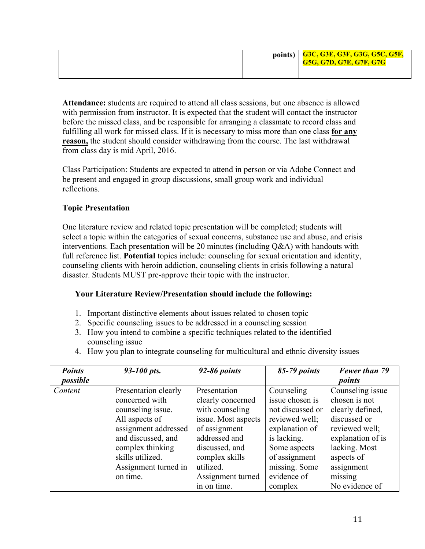|  | points)   G3C, G3E, G3F, G3G, G5C, G5F,<br><b>G5G, G7D, G7E, G7F, G7G</b> |
|--|---------------------------------------------------------------------------|
|  |                                                                           |

**Attendance:** students are required to attend all class sessions, but one absence is allowed with permission from instructor. It is expected that the student will contact the instructor before the missed class, and be responsible for arranging a classmate to record class and fulfilling all work for missed class. If it is necessary to miss more than one class **for any reason,** the student should consider withdrawing from the course. The last withdrawal from class day is mid April, 2016.

Class Participation: Students are expected to attend in person or via Adobe Connect and be present and engaged in group discussions, small group work and individual reflections.

## **Topic Presentation**

One literature review and related topic presentation will be completed; students will select a topic within the categories of sexual concerns, substance use and abuse, and crisis interventions. Each presentation will be 20 minutes (including Q&A) with handouts with full reference list. **Potential** topics include: counseling for sexual orientation and identity, counseling clients with heroin addiction, counseling clients in crisis following a natural disaster. Students MUST pre-approve their topic with the instructor.

## **Your Literature Review/Presentation should include the following:**

- 1. Important distinctive elements about issues related to chosen topic
- 2. Specific counseling issues to be addressed in a counseling session
- 3. How you intend to combine a specific techniques related to the identified counseling issue
- 4. How you plan to integrate counseling for multicultural and ethnic diversity issues

| <b>Points</b> | 93-100 pts.          | 92-86 points        | 85-79 points     | Fewer than 79     |
|---------------|----------------------|---------------------|------------------|-------------------|
| possible      |                      |                     |                  | points            |
| Content       | Presentation clearly | Presentation        | Counseling       | Counseling issue  |
|               | concerned with       | clearly concerned   | issue chosen is  | chosen is not     |
|               | counseling issue.    | with counseling     | not discussed or | clearly defined,  |
|               | All aspects of       | issue. Most aspects | reviewed well;   | discussed or      |
|               | assignment addressed | of assignment       | explanation of   | reviewed well;    |
|               | and discussed, and   | addressed and       | is lacking.      | explanation of is |
|               | complex thinking     | discussed, and      | Some aspects     | lacking. Most     |
|               | skills utilized.     | complex skills      | of assignment    | aspects of        |
|               | Assignment turned in | utilized.           | missing. Some    | assignment        |
|               | on time.             | Assignment turned   | evidence of      | missing           |
|               |                      | in on time.         | complex          | No evidence of    |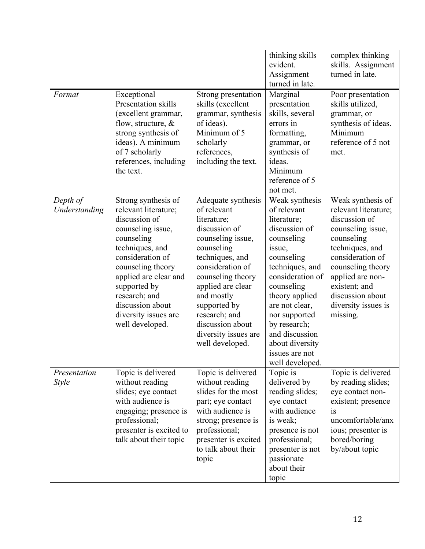|                              |                                                                                                                                                                                                                                                                                      |                                                                                                                                                                                                                                                                                                     | thinking skills<br>evident.<br>Assignment<br>turned in late.                                                                                                                                                                                                                                            | complex thinking<br>skills. Assignment<br>turned in late.                                                                                                                                                                                             |
|------------------------------|--------------------------------------------------------------------------------------------------------------------------------------------------------------------------------------------------------------------------------------------------------------------------------------|-----------------------------------------------------------------------------------------------------------------------------------------------------------------------------------------------------------------------------------------------------------------------------------------------------|---------------------------------------------------------------------------------------------------------------------------------------------------------------------------------------------------------------------------------------------------------------------------------------------------------|-------------------------------------------------------------------------------------------------------------------------------------------------------------------------------------------------------------------------------------------------------|
| Format                       | Exceptional<br>Presentation skills<br>(excellent grammar,<br>flow, structure, $\&$<br>strong synthesis of<br>ideas). A minimum<br>of 7 scholarly<br>references, including<br>the text.                                                                                               | Strong presentation<br>skills (excellent<br>grammar, synthesis<br>of ideas).<br>Minimum of 5<br>scholarly<br>references,<br>including the text.                                                                                                                                                     | Marginal<br>presentation<br>skills, several<br>errors in<br>formatting,<br>grammar, or<br>synthesis of<br>ideas.<br>Minimum<br>reference of 5<br>not met.                                                                                                                                               | Poor presentation<br>skills utilized,<br>grammar, or<br>synthesis of ideas.<br>Minimum<br>reference of 5 not<br>met.                                                                                                                                  |
| Depth of<br>Understanding    | Strong synthesis of<br>relevant literature;<br>discussion of<br>counseling issue,<br>counseling<br>techniques, and<br>consideration of<br>counseling theory<br>applied are clear and<br>supported by<br>research; and<br>discussion about<br>diversity issues are<br>well developed. | Adequate synthesis<br>of relevant<br>literature;<br>discussion of<br>counseling issue,<br>counseling<br>techniques, and<br>consideration of<br>counseling theory<br>applied are clear<br>and mostly<br>supported by<br>research; and<br>discussion about<br>diversity issues are<br>well developed. | Weak synthesis<br>of relevant<br>literature;<br>discussion of<br>counseling<br>issue,<br>counseling<br>techniques, and<br>consideration of<br>counseling<br>theory applied<br>are not clear,<br>nor supported<br>by research;<br>and discussion<br>about diversity<br>issues are not<br>well developed. | Weak synthesis of<br>relevant literature;<br>discussion of<br>counseling issue,<br>counseling<br>techniques, and<br>consideration of<br>counseling theory<br>applied are non-<br>existent; and<br>discussion about<br>diversity issues is<br>missing. |
| Presentation<br><i>Style</i> | Topic is delivered<br>without reading<br>slides; eye contact<br>with audience is<br>engaging; presence is<br>professional;<br>presenter is excited to<br>talk about their topic                                                                                                      | Topic is delivered<br>without reading<br>slides for the most<br>part; eye contact<br>with audience is<br>strong; presence is<br>professional;<br>presenter is excited<br>to talk about their<br>topic                                                                                               | Topic is<br>delivered by<br>reading slides;<br>eye contact<br>with audience<br>is weak;<br>presence is not<br>professional;<br>presenter is not<br>passionate<br>about their<br>topic                                                                                                                   | Topic is delivered<br>by reading slides;<br>eye contact non-<br>existent; presence<br>is<br>uncomfortable/anx<br>ious; presenter is<br>bored/boring<br>by/about topic                                                                                 |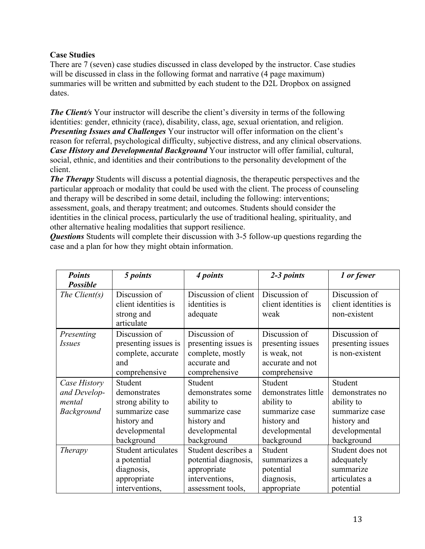## **Case Studies**

There are 7 (seven) case studies discussed in class developed by the instructor. Case studies will be discussed in class in the following format and narrative (4 page maximum) summaries will be written and submitted by each student to the D2L Dropbox on assigned dates.

*The Client's* Your instructor will describe the client's diversity in terms of the following identities: gender, ethnicity (race), disability, class, age, sexual orientation, and religion. *Presenting Issues and Challenges* Your instructor will offer information on the client's reason for referral, psychological difficulty, subjective distress, and any clinical observations. *Case History and Developmental Background* Your instructor will offer familial, cultural, social, ethnic, and identities and their contributions to the personality development of the client.

*The Therapy* Students will discuss a potential diagnosis, the therapeutic perspectives and the particular approach or modality that could be used with the client. The process of counseling and therapy will be described in some detail, including the following: interventions; assessment, goals, and therapy treatment; and outcomes. Students should consider the identities in the clinical process, particularly the use of traditional healing, spirituality, and other alternative healing modalities that support resilience.

*Questions* Students will complete their discussion with 3-5 follow-up questions regarding the case and a plan for how they might obtain information.

| <b>Points</b>               | 5 points                                                                            | 4 points                                                                                   | 2-3 points                                                                              | 1 or fewer                                            |
|-----------------------------|-------------------------------------------------------------------------------------|--------------------------------------------------------------------------------------------|-----------------------------------------------------------------------------------------|-------------------------------------------------------|
| <b>Possible</b>             |                                                                                     |                                                                                            |                                                                                         |                                                       |
| The Client $(s)$            | Discussion of<br>client identities is<br>strong and                                 | Discussion of client<br>identities is<br>adequate                                          | Discussion of<br>client identities is<br>weak                                           | Discussion of<br>client identities is<br>non-existent |
|                             | articulate                                                                          |                                                                                            |                                                                                         |                                                       |
| Presenting<br><i>Issues</i> | Discussion of<br>presenting issues is<br>complete, accurate<br>and<br>comprehensive | Discussion of<br>presenting issues is<br>complete, mostly<br>accurate and<br>comprehensive | Discussion of<br>presenting issues<br>is weak, not<br>accurate and not<br>comprehensive | Discussion of<br>presenting issues<br>is non-existent |
| Case History                | Student                                                                             | Student                                                                                    | Student                                                                                 | Student                                               |
| and Develop-                | demonstrates                                                                        | demonstrates some                                                                          | demonstrates little                                                                     | demonstrates no                                       |
| mental                      | strong ability to                                                                   | ability to                                                                                 | ability to                                                                              | ability to                                            |
| <b>Background</b>           | summarize case<br>history and<br>developmental                                      | summarize case<br>history and<br>developmental                                             | summarize case<br>history and<br>developmental                                          | summarize case<br>history and<br>developmental        |
|                             | background                                                                          | background                                                                                 | background                                                                              | background                                            |
| <b>Therapy</b>              | Student articulates                                                                 | Student describes a                                                                        | Student                                                                                 | Student does not                                      |
|                             | a potential                                                                         | potential diagnosis,                                                                       | summarizes a                                                                            | adequately                                            |
|                             | diagnosis,                                                                          | appropriate                                                                                | potential                                                                               | summarize                                             |
|                             | appropriate                                                                         | interventions,                                                                             | diagnosis,                                                                              | articulates a                                         |
|                             | interventions,                                                                      | assessment tools,                                                                          | appropriate                                                                             | potential                                             |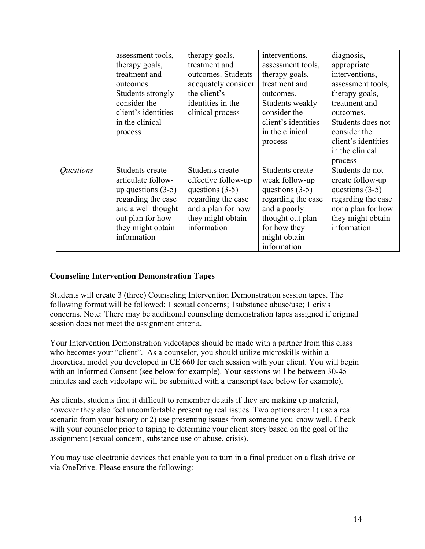|           | assessment tools,<br>therapy goals,<br>treatment and<br>outcomes.<br>Students strongly<br>consider the<br>client's identities<br>in the clinical<br>process       | therapy goals,<br>treatment and<br>outcomes. Students<br>adequately consider<br>the client's<br>identities in the<br>clinical process       | interventions,<br>assessment tools,<br>therapy goals,<br>treatment and<br>outcomes.<br>Students weakly<br>consider the<br>client's identities<br>in the clinical<br>process | diagnosis,<br>appropriate<br>interventions,<br>assessment tools,<br>therapy goals,<br>treatment and<br>outcomes.<br>Students does not<br>consider the<br>client's identities<br>in the clinical<br>process |
|-----------|-------------------------------------------------------------------------------------------------------------------------------------------------------------------|---------------------------------------------------------------------------------------------------------------------------------------------|-----------------------------------------------------------------------------------------------------------------------------------------------------------------------------|------------------------------------------------------------------------------------------------------------------------------------------------------------------------------------------------------------|
| Questions | Students create<br>articulate follow-<br>up questions $(3-5)$<br>regarding the case<br>and a well thought<br>out plan for how<br>they might obtain<br>information | Students create<br>effective follow-up<br>questions $(3-5)$<br>regarding the case<br>and a plan for how<br>they might obtain<br>information | Students create<br>weak follow-up<br>questions $(3-5)$<br>regarding the case<br>and a poorly<br>thought out plan<br>for how they<br>might obtain<br>information             | Students do not<br>create follow-up<br>questions $(3-5)$<br>regarding the case<br>nor a plan for how<br>they might obtain<br>information                                                                   |

## **Counseling Intervention Demonstration Tapes**

Students will create 3 (three) Counseling Intervention Demonstration session tapes. The following format will be followed: 1 sexual concerns; 1substance abuse/use; 1 crisis concerns. Note: There may be additional counseling demonstration tapes assigned if original session does not meet the assignment criteria.

Your Intervention Demonstration videotapes should be made with a partner from this class who becomes your "client". As a counselor, you should utilize microskills within a theoretical model you developed in CE 660 for each session with your client. You will begin with an Informed Consent (see below for example). Your sessions will be between 30-45 minutes and each videotape will be submitted with a transcript (see below for example).

As clients, students find it difficult to remember details if they are making up material, however they also feel uncomfortable presenting real issues. Two options are: 1) use a real scenario from your history or 2) use presenting issues from someone you know well. Check with your counselor prior to taping to determine your client story based on the goal of the assignment (sexual concern, substance use or abuse, crisis).

You may use electronic devices that enable you to turn in a final product on a flash drive or via OneDrive. Please ensure the following: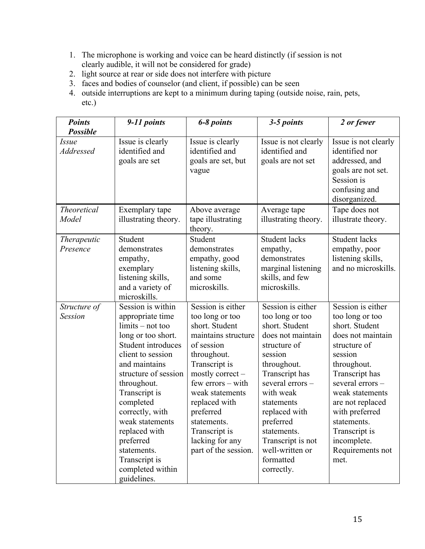- 1. The microphone is working and voice can be heard distinctly (if session is not clearly audible, it will not be considered for grade)
- 2. light source at rear or side does not interfere with picture
- 3. faces and bodies of counselor (and client, if possible) can be seen
- 4. outside interruptions are kept to a minimum during taping (outside noise, rain, pets, etc.)

| <b>Points</b><br><b>Possible</b> | 9-11 points                                                                                                                                                                                                                                                                                                                                               | 6-8 points                                                                                                                                                                                                                                                                                           | 3-5 points                                                                                                                                                                                                                                                                                            | 2 or fewer                                                                                                                                                                                                                                                                                     |
|----------------------------------|-----------------------------------------------------------------------------------------------------------------------------------------------------------------------------------------------------------------------------------------------------------------------------------------------------------------------------------------------------------|------------------------------------------------------------------------------------------------------------------------------------------------------------------------------------------------------------------------------------------------------------------------------------------------------|-------------------------------------------------------------------------------------------------------------------------------------------------------------------------------------------------------------------------------------------------------------------------------------------------------|------------------------------------------------------------------------------------------------------------------------------------------------------------------------------------------------------------------------------------------------------------------------------------------------|
| <i>Issue</i><br>Addressed        | Issue is clearly<br>identified and<br>goals are set                                                                                                                                                                                                                                                                                                       | Issue is clearly<br>identified and<br>goals are set, but<br>vague                                                                                                                                                                                                                                    | Issue is not clearly<br>identified and<br>goals are not set                                                                                                                                                                                                                                           | Issue is not clearly<br>identified nor<br>addressed, and<br>goals are not set.<br>Session is<br>confusing and<br>disorganized.                                                                                                                                                                 |
| <b>Theoretical</b><br>Model      | Exemplary tape<br>illustrating theory.                                                                                                                                                                                                                                                                                                                    | Above average<br>tape illustrating<br>theory.                                                                                                                                                                                                                                                        | Average tape<br>illustrating theory.                                                                                                                                                                                                                                                                  | Tape does not<br>illustrate theory.                                                                                                                                                                                                                                                            |
| Therapeutic<br>Presence          | Student<br>demonstrates<br>empathy,<br>exemplary<br>listening skills,<br>and a variety of<br>microskills.                                                                                                                                                                                                                                                 | Student<br>demonstrates<br>empathy, good<br>listening skills,<br>and some<br>microskills.                                                                                                                                                                                                            | <b>Student lacks</b><br>empathy,<br>demonstrates<br>marginal listening<br>skills, and few<br>microskills.                                                                                                                                                                                             | <b>Student lacks</b><br>empathy, poor<br>listening skills,<br>and no microskills.                                                                                                                                                                                                              |
| Structure of<br><b>Session</b>   | Session is within<br>appropriate time<br>$limits - not too$<br>long or too short.<br>Student introduces<br>client to session<br>and maintains<br>structure of session<br>throughout.<br>Transcript is<br>completed<br>correctly, with<br>weak statements<br>replaced with<br>preferred<br>statements.<br>Transcript is<br>completed within<br>guidelines. | Session is either<br>too long or too<br>short. Student<br>maintains structure<br>of session<br>throughout.<br>Transcript is<br>mostly correct -<br>$few$ errors $-$ with<br>weak statements<br>replaced with<br>preferred<br>statements.<br>Transcript is<br>lacking for any<br>part of the session. | Session is either<br>too long or too<br>short. Student<br>does not maintain<br>structure of<br>session<br>throughout.<br>Transcript has<br>several errors-<br>with weak<br>statements<br>replaced with<br>preferred<br>statements.<br>Transcript is not<br>well-written or<br>formatted<br>correctly. | Session is either<br>too long or too<br>short. Student<br>does not maintain<br>structure of<br>session<br>throughout.<br>Transcript has<br>several errors-<br>weak statements<br>are not replaced<br>with preferred<br>statements.<br>Transcript is<br>incomplete.<br>Requirements not<br>met. |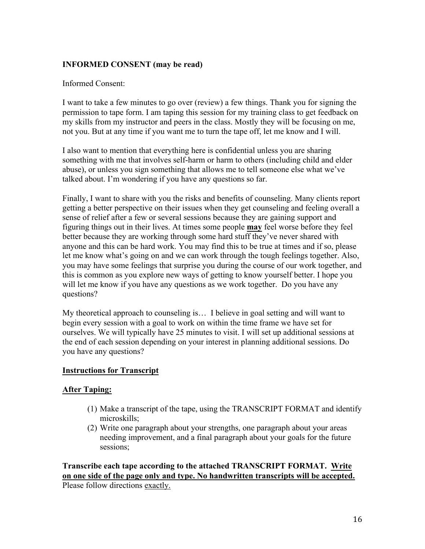## **INFORMED CONSENT (may be read)**

#### Informed Consent:

I want to take a few minutes to go over (review) a few things. Thank you for signing the permission to tape form. I am taping this session for my training class to get feedback on my skills from my instructor and peers in the class. Mostly they will be focusing on me, not you. But at any time if you want me to turn the tape off, let me know and I will.

I also want to mention that everything here is confidential unless you are sharing something with me that involves self-harm or harm to others (including child and elder abuse), or unless you sign something that allows me to tell someone else what we've talked about. I'm wondering if you have any questions so far.

Finally, I want to share with you the risks and benefits of counseling. Many clients report getting a better perspective on their issues when they get counseling and feeling overall a sense of relief after a few or several sessions because they are gaining support and figuring things out in their lives. At times some people **may** feel worse before they feel better because they are working through some hard stuff they've never shared with anyone and this can be hard work. You may find this to be true at times and if so, please let me know what's going on and we can work through the tough feelings together. Also, you may have some feelings that surprise you during the course of our work together, and this is common as you explore new ways of getting to know yourself better. I hope you will let me know if you have any questions as we work together. Do you have any questions?

My theoretical approach to counseling is… I believe in goal setting and will want to begin every session with a goal to work on within the time frame we have set for ourselves. We will typically have 25 minutes to visit. I will set up additional sessions at the end of each session depending on your interest in planning additional sessions. Do you have any questions?

## **Instructions for Transcript**

## **After Taping:**

- (1) Make a transcript of the tape, using the TRANSCRIPT FORMAT and identify microskills;
- (2) Write one paragraph about your strengths, one paragraph about your areas needing improvement, and a final paragraph about your goals for the future sessions;

**Transcribe each tape according to the attached TRANSCRIPT FORMAT. Write on one side of the page only and type. No handwritten transcripts will be accepted.** Please follow directions exactly.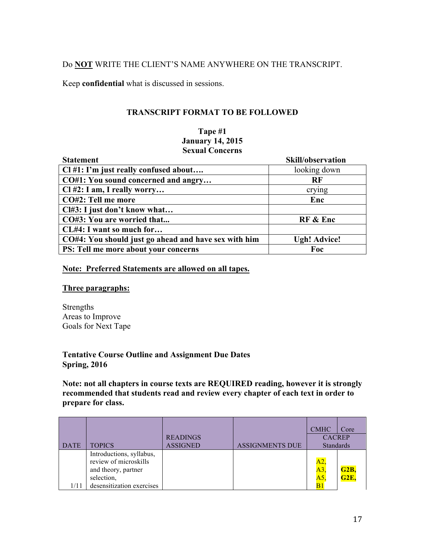## Do **NOT** WRITE THE CLIENT'S NAME ANYWHERE ON THE TRANSCRIPT.

Keep **confidential** what is discussed in sessions.

#### **TRANSCRIPT FORMAT TO BE FOLLOWED**

#### **Tape #1 January 14, 2015 Sexual Concerns**

| <b>Statement</b>                                     | Skill/observation   |
|------------------------------------------------------|---------------------|
| $Cl$ #1: I'm just really confused about              | looking down        |
| CO#1: You sound concerned and angry                  | RF                  |
| Cl #2: I am, I really worry                          | crying              |
| CO#2: Tell me more                                   | Enc                 |
| Cl#3: I just don't know what                         |                     |
| CO#3: You are worried that                           | RF & Enc            |
| CL#4: I want so much for                             |                     |
| CO#4: You should just go ahead and have sex with him | <b>Ugh! Advice!</b> |
| PS: Tell me more about your concerns                 | Foc                 |

#### **Note: Preferred Statements are allowed on all tapes.**

#### **Three paragraphs:**

Strengths Areas to Improve Goals for Next Tape

#### **Tentative Course Outline and Assignment Due Dates Spring, 2016**

**Note: not all chapters in course texts are REQUIRED reading, however it is strongly recommended that students read and review every chapter of each text in order to prepare for class.**

|             |                           |                 |                        | <b>CMHC</b>      | Core              |
|-------------|---------------------------|-----------------|------------------------|------------------|-------------------|
|             |                           | <b>READINGS</b> |                        | <b>CACREP</b>    |                   |
| <b>DATE</b> | <b>TOPICS</b>             | <b>ASSIGNED</b> | <b>ASSIGNMENTS DUE</b> | <b>Standards</b> |                   |
|             | Introductions, syllabus,  |                 |                        |                  |                   |
|             | review of microskills     |                 |                        | A2.              |                   |
|             | and theory, partner       |                 |                        | A3               | G <sub>2</sub> B, |
|             | selection,                |                 |                        | A5.              | G2E,              |
| 1/11        | desensitization exercises |                 |                        |                  |                   |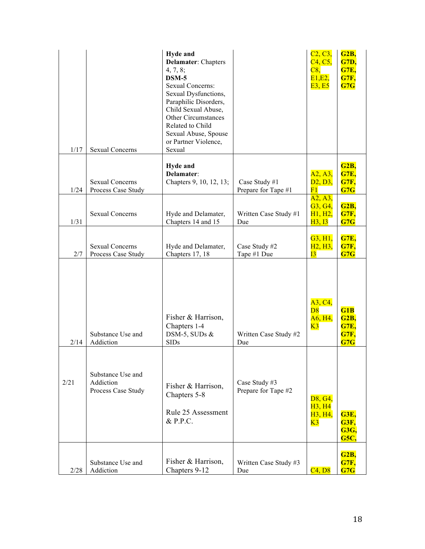| 1/17 | <b>Sexual Concerns</b>                               | <b>Hyde and</b><br><b>Delamater:</b> Chapters<br>4, 7, 8;<br>DSM-5<br><b>Sexual Concerns:</b><br>Sexual Dysfunctions,<br>Paraphilic Disorders,<br>Child Sexual Abuse,<br>Other Circumstances<br>Related to Child<br>Sexual Abuse, Spouse<br>or Partner Violence,<br>Sexual |                                      | C2, C3,<br>C <sub>4</sub> , C <sub>5</sub><br>C8,<br>E1, E2,<br><b>E3, E5</b> | G <sub>2</sub> B,<br><b>G7D,</b><br><b>G7E,</b><br><b>G7F,</b><br>G7G |
|------|------------------------------------------------------|----------------------------------------------------------------------------------------------------------------------------------------------------------------------------------------------------------------------------------------------------------------------------|--------------------------------------|-------------------------------------------------------------------------------|-----------------------------------------------------------------------|
| 1/24 | <b>Sexual Concerns</b><br>Process Case Study         | <b>Hyde and</b><br>Delamater:<br>Chapters 9, 10, 12, 13;                                                                                                                                                                                                                   | Case Study #1<br>Prepare for Tape #1 | A2, A3,<br>D2, D3,<br>F1                                                      | G <sub>2</sub> B,<br><b>G7E,</b><br><b>G7F,</b><br>G7G                |
| 1/31 | <b>Sexual Concerns</b>                               | Hyde and Delamater,<br>Chapters 14 and 15                                                                                                                                                                                                                                  | Written Case Study #1<br>Due         | A2, A3,<br>G3, G4,<br>H1, H2,<br>H3, I3                                       | <b>G2B,</b><br><b>G7F,</b><br>G7G                                     |
| 2/7  | <b>Sexual Concerns</b><br>Process Case Study         | Hyde and Delamater,<br>Chapters 17, 18                                                                                                                                                                                                                                     | Case Study #2<br>Tape #1 Due         | G3, H1,<br>H <sub>2</sub> , H <sub>3</sub> ,<br>13                            | <b>G7E,</b><br><b>G7F,</b><br>G7G                                     |
| 2/14 | Substance Use and<br>Addiction                       | Fisher & Harrison,<br>Chapters 1-4<br>DSM-5, SUDs $&$<br><b>SIDs</b>                                                                                                                                                                                                       | Written Case Study #2<br>Due         | A3, C4,<br>D8<br>A6, H4,<br>K3                                                | G1B<br><b>G2B,</b><br><b>G7E,</b><br>G7F,<br>G7G                      |
| 2/21 | Substance Use and<br>Addiction<br>Process Case Study | Fisher & Harrison,<br>Chapters 5-8<br>Rule 25 Assessment<br>$&$ P.P.C.                                                                                                                                                                                                     | Case Study #3<br>Prepare for Tape #2 | D8, G4,<br><b>H3, H4</b><br>H <sub>3</sub> , H <sub>4</sub> ,<br>K3           | <b>G3E,</b><br><b>G3F,</b><br><b>G3G,</b><br><b>G5C,</b>              |
| 2/28 | Substance Use and<br>Addiction                       | Fisher & Harrison,<br>Chapters 9-12                                                                                                                                                                                                                                        | Written Case Study #3<br>Due         | C4, D8                                                                        | <b>G2B,</b><br><b>G7F,</b><br>G7G                                     |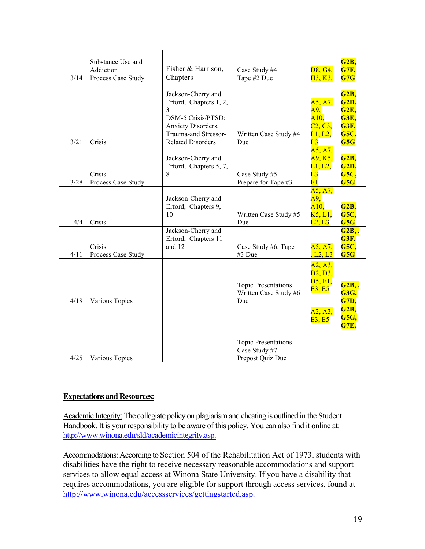| 3/14 | Substance Use and<br>Addiction<br>Process Case Study | Fisher & Harrison,<br>Chapters                                                                                        | Case Study #4<br>Tape #2 Due                                    | D8, G4,<br>H <sub>3</sub> , K <sub>3</sub> ,                         | G <sub>2</sub> B,<br><b>G7F,</b><br>G7G                                         |
|------|------------------------------------------------------|-----------------------------------------------------------------------------------------------------------------------|-----------------------------------------------------------------|----------------------------------------------------------------------|---------------------------------------------------------------------------------|
|      |                                                      | Jackson-Cherry and<br>Erford, Chapters 1, 2,<br>3<br>DSM-5 Crisis/PTSD:<br>Anxiety Disorders,<br>Trauma-and Stressor- | Written Case Study #4                                           | A5, A7,<br>A9,<br>A10.<br>C <sub>2</sub> , C <sub>3</sub><br>L1, L2, | G2B,<br><b>G2D,</b><br><b>G2E,</b><br><b>G3E,</b><br><b>G3F,</b><br><b>G5C,</b> |
| 3/21 | Crisis                                               | <b>Related Disorders</b>                                                                                              | Due                                                             | L3                                                                   | G5G                                                                             |
| 3/28 | Crisis<br>Process Case Study                         | Jackson-Cherry and<br>Erford, Chapters 5, 7,<br>8                                                                     | Case Study #5<br>Prepare for Tape #3                            | A5, A7,<br>A9, K5,<br>$\overline{L1}, \overline{L2},$<br>L3<br>F1    | <b>G2B,</b><br>G2D,<br><b>G5C,</b><br>G5G                                       |
| 4/4  | Crisis                                               | Jackson-Cherry and<br>Erford, Chapters 9,<br>10                                                                       | Written Case Study #5<br>Due                                    | A5, A7,<br><b>A9,</b><br>A10,<br>K5, L1,<br>L2, L3                   | G2B,<br><b>G5C,</b><br>G5G                                                      |
| 4/11 | Crisis<br>Process Case Study                         | Jackson-Cherry and<br>Erford, Chapters 11<br>and 12                                                                   | Case Study #6, Tape<br>#3 Due                                   | A5, A7,<br>L2, L3                                                    | G2B, ,<br>G3F,<br><b>G5C,</b><br>G5G                                            |
| 4/18 | Various Topics                                       |                                                                                                                       | <b>Topic Presentations</b><br>Written Case Study #6<br>Due      | A2, A3,<br>D2, D3,<br>D5, E1,<br><b>E3, E5</b>                       | G2B, ,<br><b>G3G,</b><br><b>G7D,</b>                                            |
|      |                                                      |                                                                                                                       |                                                                 | A2, A3,<br>E3, E5                                                    | <b>G2B,</b><br><b>G5G,</b><br><b>G7E,</b>                                       |
| 4/25 | Various Topics                                       |                                                                                                                       | <b>Topic Presentations</b><br>Case Study #7<br>Prepost Quiz Due |                                                                      |                                                                                 |

## **Expectations and Resources:**

Academic Integrity: The collegiate policy on plagiarism and cheating is outlined in the Student Handbook. It is your responsibility to be aware of this policy. You can also find it online at: http://www.winona.edu/sld/academicintegrity.asp.

Accommodations: According to Section 504 of the Rehabilitation Act of 1973, students with disabilities have the right to receive necessary reasonable accommodations and support services to allow equal access at Winona State University. If you have a disability that requires accommodations, you are eligible for support through access services, found at http://www.winona.edu/accessservices/gettingstarted.asp.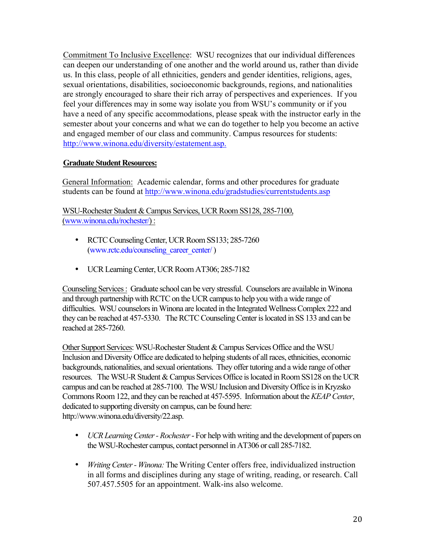Commitment To Inclusive Excellence: WSU recognizes that our individual differences can deepen our understanding of one another and the world around us, rather than divide us. In this class, people of all ethnicities, genders and gender identities, religions, ages, sexual orientations, disabilities, socioeconomic backgrounds, regions, and nationalities are strongly encouraged to share their rich array of perspectives and experiences. If you feel your differences may in some way isolate you from WSU's community or if you have a need of any specific accommodations, please speak with the instructor early in the semester about your concerns and what we can do together to help you become an active and engaged member of our class and community. Campus resources for students: http://www.winona.edu/diversity/estatement.asp.

## **Graduate Student Resources:**

General Information: Academic calendar, forms and other procedures for graduate students can be found at http://www.winona.edu/gradstudies/currentstudents.asp

WSU-Rochester Student & Campus Services, UCR Room SS128, 285-7100, (www.winona.edu/rochester/) :

- RCTC Counseling Center, UCR Room SS133; 285-7260 (www.rctc.edu/counseling\_career\_center/)
- UCR Learning Center, UCR Room AT306; 285-7182

Counseling Services : Graduate school can be very stressful. Counselors are available in Winona and through partnership with RCTC on the UCR campus to help you with a wide range of difficulties. WSU counselors in Winona are located in the Integrated Wellness Complex 222 and they can be reached at 457-5330. The RCTC Counseling Center is located in SS 133 and can be reached at 285-7260.

Other Support Services: WSU-Rochester Student & Campus Services Office and the WSU Inclusion and Diversity Office are dedicated to helping students of all races, ethnicities, economic backgrounds, nationalities, and sexual orientations. They offer tutoring and a wide range of other resources. The WSU-R Student & Campus Services Office is located in Room SS128 on the UCR campus and can be reached at 285-7100. The WSU Inclusion and Diversity Office is in Kryzsko Commons Room 122, and they can be reached at 457-5595. Information about the *KEAP Center*, dedicated to supporting diversity on campus, can be found here: http://www.winona.edu/diversity/22.asp.

- *UCR Learning Center - Rochester* For help with writing and the development of papers on the WSU-Rochester campus, contact personnel in AT306 or call 285-7182.
- *Writing Center - Winona:* The Writing Center offers free, individualized instruction in all forms and disciplines during any stage of writing, reading, or research. Call 507.457.5505 for an appointment. Walk-ins also welcome.